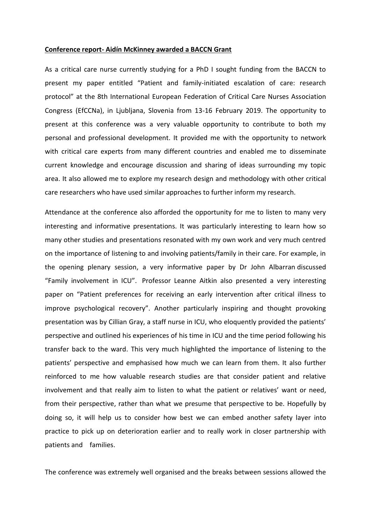## **Conference report- Aidín McKinney awarded a BACCN Grant**

As a critical care nurse currently studying for a PhD I sought funding from the BACCN to present my paper entitled "Patient and family-initiated escalation of care: research protocol" at the 8th International European Federation of Critical Care Nurses Association Congress (EfCCNa), in Ljubljana, Slovenia from 13-16 February 2019. The opportunity to present at this conference was a very valuable opportunity to contribute to both my personal and professional development. It provided me with the opportunity to network with critical care experts from many different countries and enabled me to disseminate current knowledge and encourage discussion and sharing of ideas surrounding my topic area. It also allowed me to explore my research design and methodology with other critical care researchers who have used similar approaches to further inform my research.

Attendance at the conference also afforded the opportunity for me to listen to many very interesting and informative presentations. It was particularly interesting to learn how so many other studies and presentations resonated with my own work and very much centred on the importance of listening to and involving patients/family in their care. For example, in the opening plenary session, a very informative paper by Dr John Albarran discussed "Family involvement in ICU". Professor Leanne Aitkin also presented a very interesting paper on "Patient preferences for receiving an early intervention after critical illness to improve psychological recovery". Another particularly inspiring and thought provoking presentation was by Cillian Gray, a staff nurse in ICU, who eloquently provided the patients' perspective and outlined his experiences of his time in ICU and the time period following his transfer back to the ward. This very much highlighted the importance of listening to the patients' perspective and emphasised how much we can learn from them. It also further reinforced to me how valuable research studies are that consider patient and relative involvement and that really aim to listen to what the patient or relatives' want or need, from their perspective, rather than what we presume that perspective to be. Hopefully by doing so, it will help us to consider how best we can embed another safety layer into practice to pick up on deterioration earlier and to really work in closer partnership with patients and families.

The conference was extremely well organised and the breaks between sessions allowed the